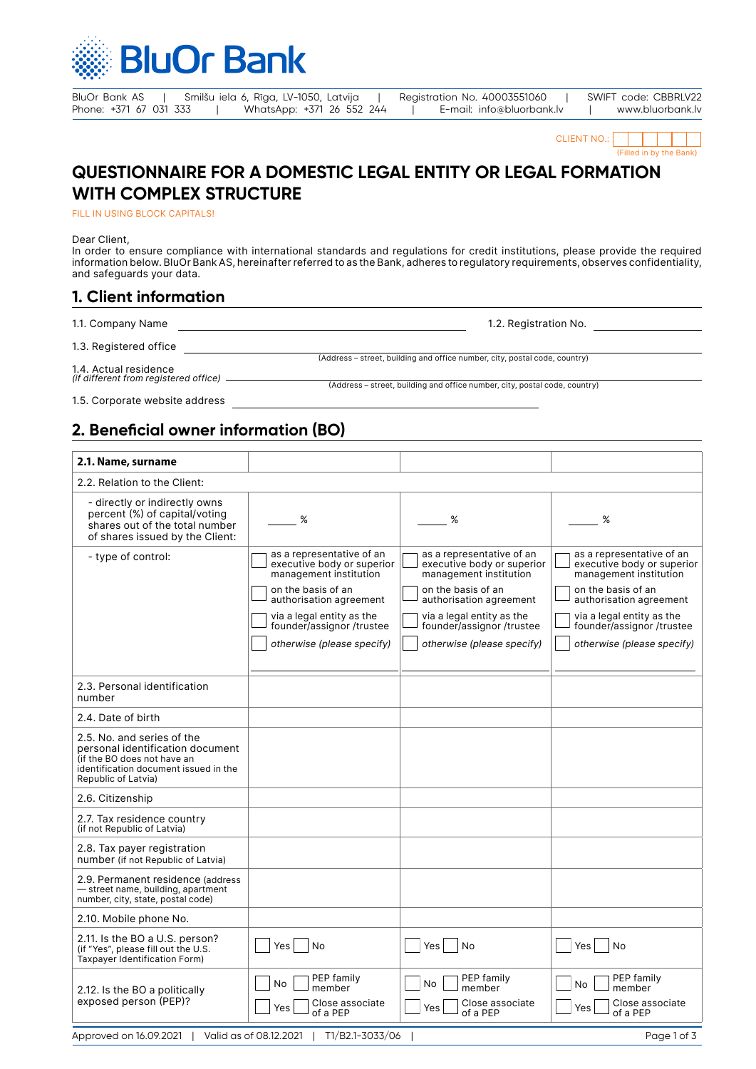

BluOr Bank AS | Smilšu iela 6, Rīga, LV-1050, Latvija | Registration No. 40003551060 | SWIFT code: CBBRLV22<br>Phone: +371 67 031 333 | WhatsApp: +371 26 552 244 | E-mail: info@bluorbank.lv | www.bluorbank.lv Phone: +371 26 552 244 | E-mail: info@bluorbank.lv | www.bluorbank.lv

CLIENT NO.: (Filled in by the Bank)

# **QUESTIONNAIRE FOR A DOMESTIC LEGAL ENTITY OR LEGAL FORMATION WITH COMPLEX STRUCTURE**

FILL IN USING BLOCK CAPITALS!

Dear Client,

In order to ensure compliance with international standards and regulations for credit institutions, please provide the required information below. BluOr Bank AS, hereinafter referred to as the Bank, adheres to regulatory requirements, observes confidentiality, and safeguards your data.

# **1. Client information**

| 1.1. Company Name                     | 1.2. Registration No.                                                      |
|---------------------------------------|----------------------------------------------------------------------------|
| 1.3. Registered office                |                                                                            |
| 1.4. Actual residence                 | (Address – street, building and office number, city, postal code, country) |
| (if different from registered office) | (Address – street, building and office number, city, postal code, country) |
| 1.5. Corporate website address        |                                                                            |

**2. Beneficial owner information (BO)**

| 2.1. Name, surname                                                                                                                                            |                                                                                                                                                                                                                            |                                                                                                                                                                                                                            |                                                                                                                                                                                                                            |
|---------------------------------------------------------------------------------------------------------------------------------------------------------------|----------------------------------------------------------------------------------------------------------------------------------------------------------------------------------------------------------------------------|----------------------------------------------------------------------------------------------------------------------------------------------------------------------------------------------------------------------------|----------------------------------------------------------------------------------------------------------------------------------------------------------------------------------------------------------------------------|
| 2.2. Relation to the Client:                                                                                                                                  |                                                                                                                                                                                                                            |                                                                                                                                                                                                                            |                                                                                                                                                                                                                            |
| - directly or indirectly owns<br>percent (%) of capital/voting<br>shares out of the total number<br>of shares issued by the Client:                           | %                                                                                                                                                                                                                          | %                                                                                                                                                                                                                          | %                                                                                                                                                                                                                          |
| - type of control:                                                                                                                                            | as a representative of an<br>executive body or superior<br>management institution<br>on the basis of an<br>authorisation agreement<br>via a legal entity as the<br>founder/assignor /trustee<br>otherwise (please specify) | as a representative of an<br>executive body or superior<br>management institution<br>on the basis of an<br>authorisation agreement<br>via a legal entity as the<br>founder/assignor /trustee<br>otherwise (please specify) | as a representative of an<br>executive body or superior<br>management institution<br>on the basis of an<br>authorisation agreement<br>via a legal entity as the<br>founder/assignor /trustee<br>otherwise (please specify) |
| 2.3. Personal identification<br>number                                                                                                                        |                                                                                                                                                                                                                            |                                                                                                                                                                                                                            |                                                                                                                                                                                                                            |
| 2.4. Date of birth                                                                                                                                            |                                                                                                                                                                                                                            |                                                                                                                                                                                                                            |                                                                                                                                                                                                                            |
| 2.5. No. and series of the<br>personal identification document<br>(if the BO does not have an<br>identification document issued in the<br>Republic of Latvia) |                                                                                                                                                                                                                            |                                                                                                                                                                                                                            |                                                                                                                                                                                                                            |
| 2.6. Citizenship                                                                                                                                              |                                                                                                                                                                                                                            |                                                                                                                                                                                                                            |                                                                                                                                                                                                                            |
| 2.7. Tax residence country<br>(if not Republic of Latvia)                                                                                                     |                                                                                                                                                                                                                            |                                                                                                                                                                                                                            |                                                                                                                                                                                                                            |
| 2.8. Tax payer registration<br>number (if not Republic of Latvia)                                                                                             |                                                                                                                                                                                                                            |                                                                                                                                                                                                                            |                                                                                                                                                                                                                            |
| 2.9. Permanent residence (address<br>- street name, building, apartment<br>number, city, state, postal code)                                                  |                                                                                                                                                                                                                            |                                                                                                                                                                                                                            |                                                                                                                                                                                                                            |
| 2.10. Mobile phone No.                                                                                                                                        |                                                                                                                                                                                                                            |                                                                                                                                                                                                                            |                                                                                                                                                                                                                            |
| 2.11. Is the BO a U.S. person?<br>(if "Yes", please fill out the U.S.<br>Taxpayer Identification Form)                                                        | No<br>Yes                                                                                                                                                                                                                  | Yes<br><b>No</b>                                                                                                                                                                                                           | Yes<br><b>No</b>                                                                                                                                                                                                           |
| 2.12. Is the BO a politically<br>exposed person (PEP)?                                                                                                        | PEP family<br>No<br>member<br>Close associate<br>Yes<br>of a PEP                                                                                                                                                           | PEP family<br>No<br>member<br>Close associate<br>Yes<br>of a PEP                                                                                                                                                           | PEP family<br>No<br>member<br>Close associate<br>Yes<br>of a PEP                                                                                                                                                           |
| Approved on 16.09.2021                                                                                                                                        | Valid as of 08.12.2021<br>T1/B2.1-3033/06                                                                                                                                                                                  |                                                                                                                                                                                                                            | Page 1 of 3                                                                                                                                                                                                                |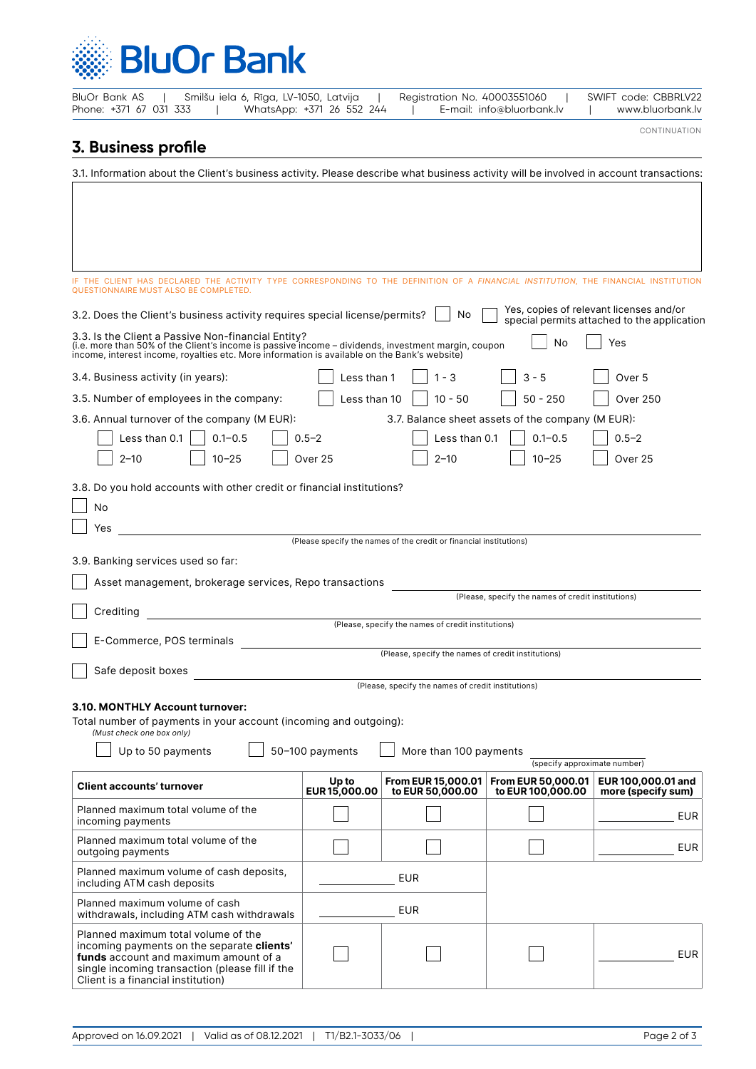

| Phone: +371 67 031 333                         |                                                                                                                                                                                                                                                           | WhatsApp: +371 26 552 244 |                                                                    | E-mail: info@bluorbank.lv                          | www.bluorbank.lv                                                                       |
|------------------------------------------------|-----------------------------------------------------------------------------------------------------------------------------------------------------------------------------------------------------------------------------------------------------------|---------------------------|--------------------------------------------------------------------|----------------------------------------------------|----------------------------------------------------------------------------------------|
| 3. Business profile                            |                                                                                                                                                                                                                                                           |                           |                                                                    |                                                    | CONTINUATION                                                                           |
|                                                |                                                                                                                                                                                                                                                           |                           |                                                                    |                                                    |                                                                                        |
|                                                | 3.1. Information about the Client's business activity. Please describe what business activity will be involved in account transactions:                                                                                                                   |                           |                                                                    |                                                    |                                                                                        |
|                                                |                                                                                                                                                                                                                                                           |                           |                                                                    |                                                    |                                                                                        |
|                                                |                                                                                                                                                                                                                                                           |                           |                                                                    |                                                    |                                                                                        |
|                                                |                                                                                                                                                                                                                                                           |                           |                                                                    |                                                    |                                                                                        |
|                                                |                                                                                                                                                                                                                                                           |                           |                                                                    |                                                    |                                                                                        |
|                                                | IF THE CLIENT HAS DECLARED THE ACTIVITY TYPE CORRESPONDING TO THE DEFINITION OF A <i>FINANCIAL INSTITUTION</i> , THE FINANCIAL INSTITUTION<br>QUESTIONNAIRE MUST ALSO BE COMPLETED.                                                                       |                           |                                                                    |                                                    |                                                                                        |
|                                                | 3.2. Does the Client's business activity requires special license/permits?                                                                                                                                                                                |                           | No                                                                 |                                                    | Yes, copies of relevant licenses and/or<br>special permits attached to the application |
|                                                | 3.3. Is the Client a Passive Non-financial Entity?<br>(i.e. more than 50% of the Client's income is passive income – dividends, investment margin, coupon<br>income, interest income, royalties etc. More information is available on the Bank's website) |                           |                                                                    | No                                                 | Yes                                                                                    |
| 3.4. Business activity (in years):             |                                                                                                                                                                                                                                                           | Less than 1               | $1 - 3$                                                            | $3 - 5$                                            | Over 5                                                                                 |
|                                                | 3.5. Number of employees in the company:                                                                                                                                                                                                                  | Less than 10              | $10 - 50$                                                          | $50 - 250$                                         | <b>Over 250</b>                                                                        |
|                                                | 3.6. Annual turnover of the company (M EUR):                                                                                                                                                                                                              |                           |                                                                    | 3.7. Balance sheet assets of the company (M EUR):  |                                                                                        |
| Less than 0.1                                  | $0.1 - 0.5$                                                                                                                                                                                                                                               | $0.5 - 2$                 | Less than 0.1                                                      | $0.1 - 0.5$                                        | $0.5 - 2$                                                                              |
| $2 - 10$                                       | 10-25                                                                                                                                                                                                                                                     | Over 25                   | $2 - 10$                                                           | $10 - 25$                                          | Over 25                                                                                |
|                                                |                                                                                                                                                                                                                                                           |                           |                                                                    |                                                    |                                                                                        |
|                                                | 3.8. Do you hold accounts with other credit or financial institutions?                                                                                                                                                                                    |                           |                                                                    |                                                    |                                                                                        |
| No                                             |                                                                                                                                                                                                                                                           |                           |                                                                    |                                                    |                                                                                        |
| Yes                                            |                                                                                                                                                                                                                                                           |                           | (Please specify the names of the credit or financial institutions) |                                                    |                                                                                        |
| 3.9. Banking services used so far:             |                                                                                                                                                                                                                                                           |                           |                                                                    |                                                    |                                                                                        |
|                                                |                                                                                                                                                                                                                                                           |                           |                                                                    |                                                    |                                                                                        |
|                                                | Asset management, brokerage services, Repo transactions                                                                                                                                                                                                   |                           |                                                                    | (Please, specify the names of credit institutions) |                                                                                        |
| Crediting                                      |                                                                                                                                                                                                                                                           |                           |                                                                    |                                                    |                                                                                        |
| E-Commerce, POS terminals                      |                                                                                                                                                                                                                                                           |                           | (Please, specify the names of credit institutions)                 |                                                    |                                                                                        |
|                                                |                                                                                                                                                                                                                                                           |                           | (Please, specify the names of credit institutions)                 |                                                    |                                                                                        |
| Safe deposit boxes                             |                                                                                                                                                                                                                                                           |                           |                                                                    |                                                    |                                                                                        |
|                                                |                                                                                                                                                                                                                                                           |                           | (Please, specify the names of credit institutions)                 |                                                    |                                                                                        |
|                                                | 3.10. MONTHLY Account turnover:<br>Total number of payments in your account (incoming and outgoing):                                                                                                                                                      |                           |                                                                    |                                                    |                                                                                        |
| (Must check one box only)<br>Up to 50 payments |                                                                                                                                                                                                                                                           |                           |                                                                    |                                                    |                                                                                        |
|                                                |                                                                                                                                                                                                                                                           | 50-100 payments           | More than 100 payments                                             | (specify approximate number)                       |                                                                                        |
| <b>Client accounts' turnover</b>               |                                                                                                                                                                                                                                                           | Up to<br>EUR15,000.00     | <b>From EUR 15,000.01</b><br>to EUR 50,000.00                      | From EUR 50,000.01<br>to EUR 100,000.00            | EUR 100,000.01 and<br>more (specify sum)                                               |
| incoming payments                              | Planned maximum total volume of the                                                                                                                                                                                                                       |                           |                                                                    |                                                    | EUR                                                                                    |
| outgoing payments                              | Planned maximum total volume of the                                                                                                                                                                                                                       |                           |                                                                    |                                                    | <b>EUR</b>                                                                             |
| including ATM cash deposits                    | Planned maximum volume of cash deposits,                                                                                                                                                                                                                  |                           | <b>EUR</b>                                                         |                                                    |                                                                                        |
| Planned maximum volume of cash                 | withdrawals, including ATM cash withdrawals                                                                                                                                                                                                               |                           | <b>EUR</b>                                                         |                                                    |                                                                                        |
|                                                | Planned maximum total volume of the<br>incoming payments on the separate clients'<br>funds account and maximum amount of a                                                                                                                                |                           |                                                                    |                                                    | <b>EUR</b>                                                                             |

BluOr Bank AS | Smilšu iela 6, Rīga, LV-1050, Latvija | Registration No. 40003551060 | SWIFT code: CBBRLV22

single incoming transaction (please fill if the

Client is a financial institution)